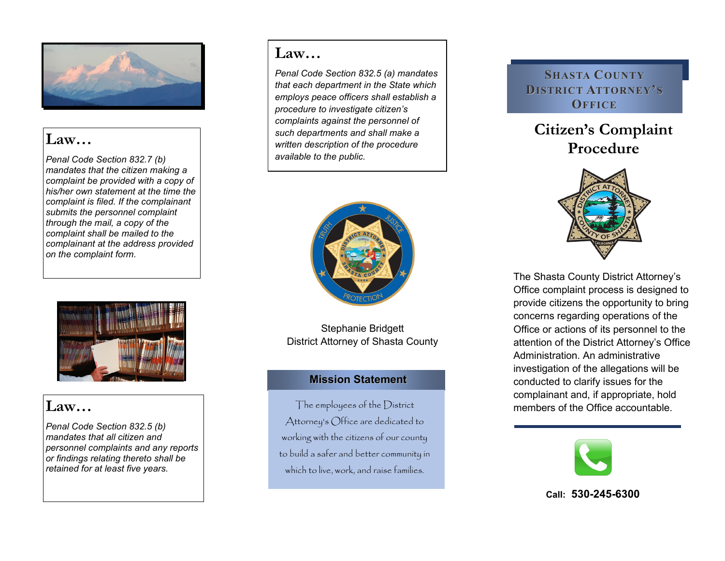

# **Law…**

*Penal Code Section 832.7 (b) mandates that the citizen making a complaint be provided with a copy of his/her own statement at the time the complaint is filed. If the complainant submits the personnel complaint through the mail, a copy of the complaint shall be mailed to the complainant at the address provided on the complaint form.* 



# **Law…**

*Penal Code Section 832.5 (b) mandates that all citizen and personnel complaints and any reports or findings relating thereto shall be retained for at least five years.* 

# **Law…**

*Penal Code Section 832.5 (a) mandates that each department in the State which employs peace officers shall establish a procedure to investigate citizen's complaints against the personnel of such departments and shall make a written description of the procedure available to the public.* 



Stephanie Bridgett District Attorney of Shasta County

# **Mission Statement**

The employees of the District Attorney's Office are dedicated to working with the citizens of our county to build a safer and better community in which to live, work, and raise families.

## **SHASTA COUNTY DISTRICT ATTORNEY' S OFFICE**

# **Citizen's Complaint Procedure**



The Shasta County District Attorney's Office complaint process is designed to provide citizens the opportunity to bring concerns regarding operations of the Office or actions of its personnel to the attention of the District Attorney's Office Administration. An administrative investigation of the allegations will be conducted to clarify issues for the complainant and, if appropriate, hold members of the Office accountable.



### **Call: 530-245-6300**